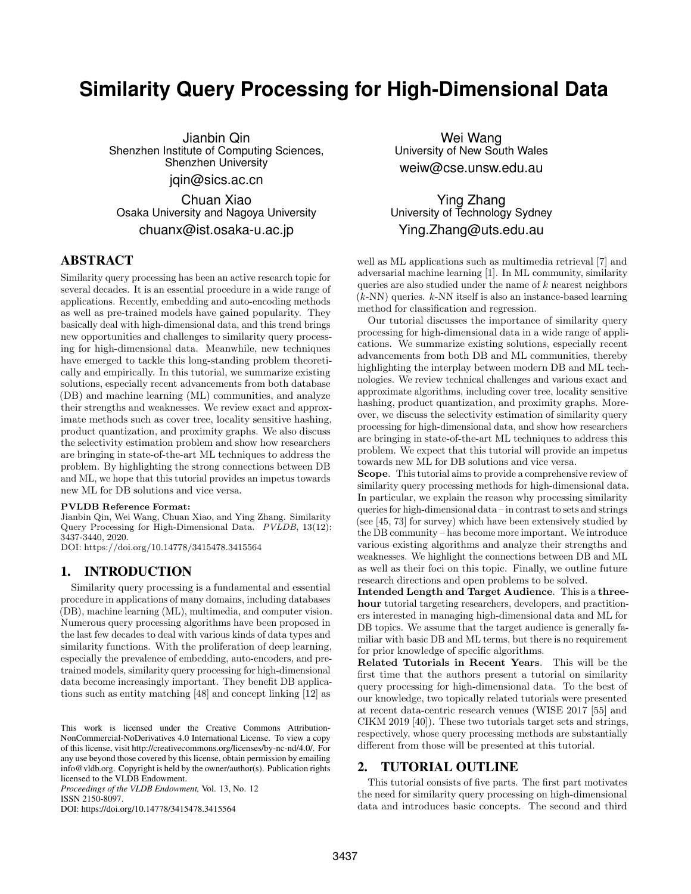# **Similarity Query Processing for High-Dimensional Data**

Jianbin Qin Shenzhen Institute of Computing Sciences, Shenzhen University jqin@sics.ac.cn

Chuan Xiao Osaka University and Nagoya University chuanx@ist.osaka-u.ac.jp

# ABSTRACT

Similarity query processing has been an active research topic for several decades. It is an essential procedure in a wide range of applications. Recently, embedding and auto-encoding methods as well as pre-trained models have gained popularity. They basically deal with high-dimensional data, and this trend brings new opportunities and challenges to similarity query processing for high-dimensional data. Meanwhile, new techniques have emerged to tackle this long-standing problem theoretically and empirically. In this tutorial, we summarize existing solutions, especially recent advancements from both database (DB) and machine learning (ML) communities, and analyze their strengths and weaknesses. We review exact and approximate methods such as cover tree, locality sensitive hashing, product quantization, and proximity graphs. We also discuss the selectivity estimation problem and show how researchers are bringing in state-of-the-art ML techniques to address the problem. By highlighting the strong connections between DB and ML, we hope that this tutorial provides an impetus towards new ML for DB solutions and vice versa.

#### PVLDB Reference Format:

Jianbin Qin, Wei Wang, Chuan Xiao, and Ying Zhang. Similarity Query Processing for High-Dimensional Data. PVLDB, 13(12): 3437-3440, 2020.

DOI: https://doi.org/10.14778/3415478.3415564

### 1. INTRODUCTION

Similarity query processing is a fundamental and essential procedure in applications of many domains, including databases (DB), machine learning (ML), multimedia, and computer vision. Numerous query processing algorithms have been proposed in the last few decades to deal with various kinds of data types and similarity functions. With the proliferation of deep learning, especially the prevalence of embedding, auto-encoders, and pretrained models, similarity query processing for high-dimensional data become increasingly important. They benefit DB applications such as entity matching [48] and concept linking [12] as

*Proceedings of the VLDB Endowment,* Vol. 13, No. 12 ISSN 2150-8097.

DOI: https://doi.org/10.14778/3415478.3415564

Wei Wang University of New South Wales weiw@cse.unsw.edu.au

Ying Zhang University of Technology Sydney Ying.Zhang@uts.edu.au

well as ML applications such as multimedia retrieval [7] and adversarial machine learning [1]. In ML community, similarity queries are also studied under the name of  $k$  nearest neighbors  $(k-NN)$  queries.  $k-NN$  itself is also an instance-based learning method for classification and regression.

Our tutorial discusses the importance of similarity query processing for high-dimensional data in a wide range of applications. We summarize existing solutions, especially recent advancements from both DB and ML communities, thereby highlighting the interplay between modern DB and ML technologies. We review technical challenges and various exact and approximate algorithms, including cover tree, locality sensitive hashing, product quantization, and proximity graphs. Moreover, we discuss the selectivity estimation of similarity query processing for high-dimensional data, and show how researchers are bringing in state-of-the-art ML techniques to address this problem. We expect that this tutorial will provide an impetus towards new ML for DB solutions and vice versa.

Scope. This tutorial aims to provide a comprehensive review of similarity query processing methods for high-dimensional data. In particular, we explain the reason why processing similarity queries for high-dimensional data – in contrast to sets and strings (see [45, 73] for survey) which have been extensively studied by the DB community – has become more important. We introduce various existing algorithms and analyze their strengths and weaknesses. We highlight the connections between DB and ML as well as their foci on this topic. Finally, we outline future research directions and open problems to be solved.

Intended Length and Target Audience. This is a threehour tutorial targeting researchers, developers, and practitioners interested in managing high-dimensional data and ML for DB topics. We assume that the target audience is generally familiar with basic DB and ML terms, but there is no requirement for prior knowledge of specific algorithms.

Related Tutorials in Recent Years. This will be the first time that the authors present a tutorial on similarity query processing for high-dimensional data. To the best of our knowledge, two topically related tutorials were presented at recent data-centric research venues (WISE 2017 [55] and CIKM 2019 [40]). These two tutorials target sets and strings, respectively, whose query processing methods are substantially different from those will be presented at this tutorial.

### 2. TUTORIAL OUTLINE

This tutorial consists of five parts. The first part motivates the need for similarity query processing on high-dimensional data and introduces basic concepts. The second and third

This work is licensed under the Creative Commons Attribution-NonCommercial-NoDerivatives 4.0 International License. To view a copy of this license, visit http://creativecommons.org/licenses/by-nc-nd/4.0/. For any use beyond those covered by this license, obtain permission by emailing info@vldb.org. Copyright is held by the owner/author(s). Publication rights licensed to the VLDB Endowment.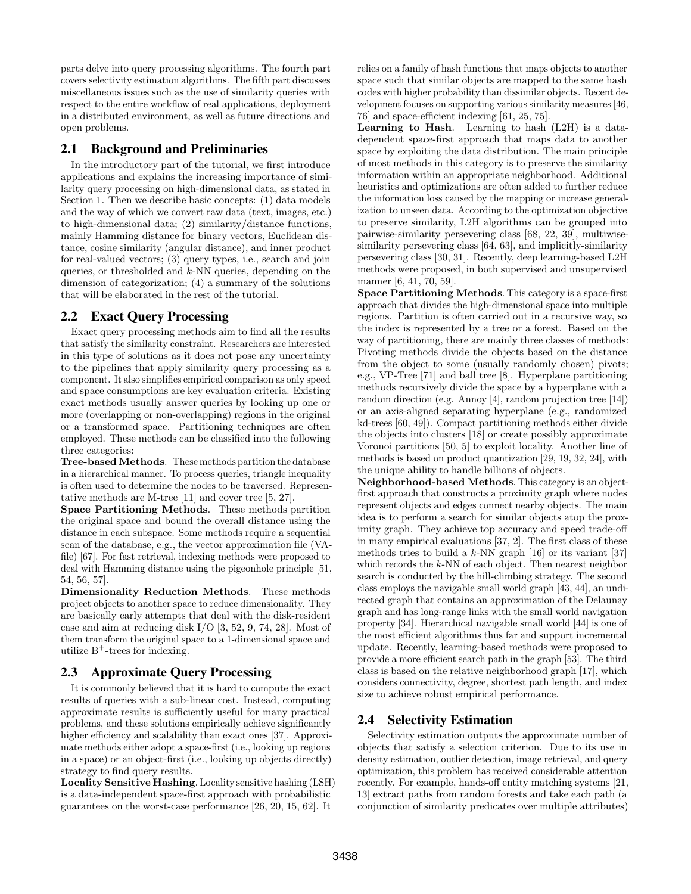parts delve into query processing algorithms. The fourth part covers selectivity estimation algorithms. The fifth part discusses miscellaneous issues such as the use of similarity queries with respect to the entire workflow of real applications, deployment in a distributed environment, as well as future directions and open problems.

### 2.1 Background and Preliminaries

In the introductory part of the tutorial, we first introduce applications and explains the increasing importance of similarity query processing on high-dimensional data, as stated in Section 1. Then we describe basic concepts: (1) data models and the way of which we convert raw data (text, images, etc.) to high-dimensional data; (2) similarity/distance functions, mainly Hamming distance for binary vectors, Euclidean distance, cosine similarity (angular distance), and inner product for real-valued vectors; (3) query types, i.e., search and join queries, or thresholded and k-NN queries, depending on the dimension of categorization; (4) a summary of the solutions that will be elaborated in the rest of the tutorial.

### 2.2 Exact Query Processing

Exact query processing methods aim to find all the results that satisfy the similarity constraint. Researchers are interested in this type of solutions as it does not pose any uncertainty to the pipelines that apply similarity query processing as a component. It also simplifies empirical comparison as only speed and space consumptions are key evaluation criteria. Existing exact methods usually answer queries by looking up one or more (overlapping or non-overlapping) regions in the original or a transformed space. Partitioning techniques are often employed. These methods can be classified into the following three categories:

Tree-based Methods. These methods partition the database in a hierarchical manner. To process queries, triangle inequality is often used to determine the nodes to be traversed. Representative methods are M-tree [11] and cover tree [5, 27].

Space Partitioning Methods. These methods partition the original space and bound the overall distance using the distance in each subspace. Some methods require a sequential scan of the database, e.g., the vector approximation file (VAfile) [67]. For fast retrieval, indexing methods were proposed to deal with Hamming distance using the pigeonhole principle [51, 54, 56, 57].

Dimensionality Reduction Methods. These methods project objects to another space to reduce dimensionality. They are basically early attempts that deal with the disk-resident case and aim at reducing disk I/O [3, 52, 9, 74, 28]. Most of them transform the original space to a 1-dimensional space and utilize  $B^+$ -trees for indexing.

### 2.3 Approximate Query Processing

It is commonly believed that it is hard to compute the exact results of queries with a sub-linear cost. Instead, computing approximate results is sufficiently useful for many practical problems, and these solutions empirically achieve significantly higher efficiency and scalability than exact ones [37]. Approximate methods either adopt a space-first (i.e., looking up regions in a space) or an object-first (i.e., looking up objects directly) strategy to find query results.

Locality Sensitive Hashing. Locality sensitive hashing (LSH) is a data-independent space-first approach with probabilistic guarantees on the worst-case performance [26, 20, 15, 62]. It

relies on a family of hash functions that maps objects to another space such that similar objects are mapped to the same hash codes with higher probability than dissimilar objects. Recent development focuses on supporting various similarity measures [46, 76] and space-efficient indexing [61, 25, 75].

Learning to Hash. Learning to hash (L2H) is a datadependent space-first approach that maps data to another space by exploiting the data distribution. The main principle of most methods in this category is to preserve the similarity information within an appropriate neighborhood. Additional heuristics and optimizations are often added to further reduce the information loss caused by the mapping or increase generalization to unseen data. According to the optimization objective to preserve similarity, L2H algorithms can be grouped into pairwise-similarity persevering class [68, 22, 39], multiwisesimilarity persevering class [64, 63], and implicitly-similarity persevering class [30, 31]. Recently, deep learning-based L2H methods were proposed, in both supervised and unsupervised manner [6, 41, 70, 59].

Space Partitioning Methods. This category is a space-first approach that divides the high-dimensional space into multiple regions. Partition is often carried out in a recursive way, so the index is represented by a tree or a forest. Based on the way of partitioning, there are mainly three classes of methods: Pivoting methods divide the objects based on the distance from the object to some (usually randomly chosen) pivots; e.g., VP-Tree [71] and ball tree [8]. Hyperplane partitioning methods recursively divide the space by a hyperplane with a random direction (e.g. Annoy [4], random projection tree [14]) or an axis-aligned separating hyperplane (e.g., randomized kd-trees [60, 49]). Compact partitioning methods either divide the objects into clusters [18] or create possibly approximate Voronoi partitions [50, 5] to exploit locality. Another line of methods is based on product quantization [29, 19, 32, 24], with the unique ability to handle billions of objects.

Neighborhood-based Methods. This category is an objectfirst approach that constructs a proximity graph where nodes represent objects and edges connect nearby objects. The main idea is to perform a search for similar objects atop the proximity graph. They achieve top accuracy and speed trade-off in many empirical evaluations [37, 2]. The first class of these methods tries to build a  $k$ -NN graph [16] or its variant [37] which records the  $k$ -NN of each object. Then nearest neighbor search is conducted by the hill-climbing strategy. The second class employs the navigable small world graph [43, 44], an undirected graph that contains an approximation of the Delaunay graph and has long-range links with the small world navigation property [34]. Hierarchical navigable small world [44] is one of the most efficient algorithms thus far and support incremental update. Recently, learning-based methods were proposed to provide a more efficient search path in the graph [53]. The third class is based on the relative neighborhood graph [17], which considers connectivity, degree, shortest path length, and index size to achieve robust empirical performance.

# 2.4 Selectivity Estimation

Selectivity estimation outputs the approximate number of objects that satisfy a selection criterion. Due to its use in density estimation, outlier detection, image retrieval, and query optimization, this problem has received considerable attention recently. For example, hands-off entity matching systems [21, 13] extract paths from random forests and take each path (a conjunction of similarity predicates over multiple attributes)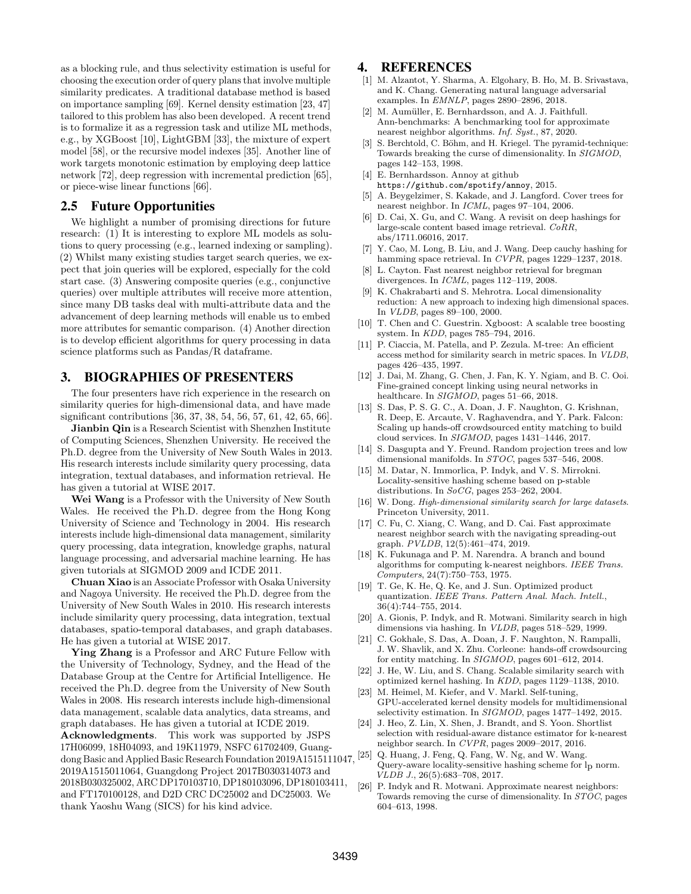as a blocking rule, and thus selectivity estimation is useful for choosing the execution order of query plans that involve multiple similarity predicates. A traditional database method is based on importance sampling [69]. Kernel density estimation [23, 47] tailored to this problem has also been developed. A recent trend is to formalize it as a regression task and utilize ML methods, e.g., by XGBoost [10], LightGBM [33], the mixture of expert model [58], or the recursive model indexes [35]. Another line of work targets monotonic estimation by employing deep lattice network [72], deep regression with incremental prediction [65], or piece-wise linear functions [66].

#### 2.5 Future Opportunities

We highlight a number of promising directions for future research: (1) It is interesting to explore ML models as solutions to query processing (e.g., learned indexing or sampling). (2) Whilst many existing studies target search queries, we expect that join queries will be explored, especially for the cold start case. (3) Answering composite queries (e.g., conjunctive queries) over multiple attributes will receive more attention, since many DB tasks deal with multi-attribute data and the advancement of deep learning methods will enable us to embed more attributes for semantic comparison. (4) Another direction is to develop efficient algorithms for query processing in data science platforms such as Pandas/R dataframe.

#### 3. BIOGRAPHIES OF PRESENTERS

The four presenters have rich experience in the research on similarity queries for high-dimensional data, and have made significant contributions [36, 37, 38, 54, 56, 57, 61, 42, 65, 66].

Jianbin Qin is a Research Scientist with Shenzhen Institute of Computing Sciences, Shenzhen University. He received the Ph.D. degree from the University of New South Wales in 2013. His research interests include similarity query processing, data integration, textual databases, and information retrieval. He has given a tutorial at WISE 2017.

Wei Wang is a Professor with the University of New South Wales. He received the Ph.D. degree from the Hong Kong University of Science and Technology in 2004. His research interests include high-dimensional data management, similarity query processing, data integration, knowledge graphs, natural language processing, and adversarial machine learning. He has given tutorials at SIGMOD 2009 and ICDE 2011.

Chuan Xiao is an Associate Professor with Osaka University and Nagoya University. He received the Ph.D. degree from the University of New South Wales in 2010. His research interests include similarity query processing, data integration, textual databases, spatio-temporal databases, and graph databases. He has given a tutorial at WISE 2017.

Ying Zhang is a Professor and ARC Future Fellow with the University of Technology, Sydney, and the Head of the Database Group at the Centre for Artificial Intelligence. He received the Ph.D. degree from the University of New South Wales in 2008. His research interests include high-dimensional data management, scalable data analytics, data streams, and graph databases. He has given a tutorial at ICDE 2019.

Acknowledgments. This work was supported by JSPS 17H06099, 18H04093, and 19K11979, NSFC 61702409, Guangdong Basic and Applied Basic Research Foundation 2019A1515111047, 2019A1515011064, Guangdong Project 2017B030314073 and 2018B030325002, ARC DP170103710, DP180103096, DP180103411, and FT170100128, and D2D CRC DC25002 and DC25003. We thank Yaoshu Wang (SICS) for his kind advice.

#### 4. REFERENCES

- [1] M. Alzantot, Y. Sharma, A. Elgohary, B. Ho, M. B. Srivastava, and K. Chang. Generating natural language adversarial examples. In EMNLP, pages 2890–2896, 2018.
- [2] M. Aumüller, E. Bernhardsson, and A. J. Faithfull. Ann-benchmarks: A benchmarking tool for approximate nearest neighbor algorithms. Inf. Syst., 87, 2020.
- [3] S. Berchtold, C. Böhm, and H. Kriegel. The pyramid-technique: Towards breaking the curse of dimensionality. In SIGMOD, pages 142–153, 1998.
- [4] E. Bernhardsson. Annoy at github https://github.com/spotify/annoy, 2015.
- [5] A. Beygelzimer, S. Kakade, and J. Langford. Cover trees for nearest neighbor. In ICML, pages 97–104, 2006.
- [6] D. Cai, X. Gu, and C. Wang. A revisit on deep hashings for large-scale content based image retrieval. CoRR, abs/1711.06016, 2017.
- [7] Y. Cao, M. Long, B. Liu, and J. Wang. Deep cauchy hashing for hamming space retrieval. In CVPR, pages 1229–1237, 2018.
- L. Cayton. Fast nearest neighbor retrieval for bregman divergences. In ICML, pages 112–119, 2008.
- K. Chakrabarti and S. Mehrotra. Local dimensionality reduction: A new approach to indexing high dimensional spaces. In VLDB, pages 89–100, 2000.
- [10] T. Chen and C. Guestrin. Xgboost: A scalable tree boosting system. In KDD, pages 785–794, 2016.
- [11] P. Ciaccia, M. Patella, and P. Zezula. M-tree: An efficient access method for similarity search in metric spaces. In VLDB, pages 426–435, 1997.
- [12] J. Dai, M. Zhang, G. Chen, J. Fan, K. Y. Ngiam, and B. C. Ooi. Fine-grained concept linking using neural networks in healthcare. In SIGMOD, pages 51–66, 2018.
- [13] S. Das, P. S. G. C., A. Doan, J. F. Naughton, G. Krishnan, R. Deep, E. Arcaute, V. Raghavendra, and Y. Park. Falcon: Scaling up hands-off crowdsourced entity matching to build cloud services. In SIGMOD, pages 1431–1446, 2017.
- [14] S. Dasgupta and Y. Freund. Random projection trees and low dimensional manifolds. In STOC, pages 537–546, 2008.
- [15] M. Datar, N. Immorlica, P. Indyk, and V. S. Mirrokni. Locality-sensitive hashing scheme based on p-stable distributions. In SoCG, pages 253-262, 2004.
- [16] W. Dong. High-dimensional similarity search for large datasets. Princeton University, 2011.
- [17] C. Fu, C. Xiang, C. Wang, and D. Cai. Fast approximate nearest neighbor search with the navigating spreading-out graph. PVLDB, 12(5):461–474, 2019.
- [18] K. Fukunaga and P. M. Narendra. A branch and bound algorithms for computing k-nearest neighbors. IEEE Trans. Computers, 24(7):750–753, 1975.
- [19] T. Ge, K. He, Q. Ke, and J. Sun. Optimized product quantization. IEEE Trans. Pattern Anal. Mach. Intell., 36(4):744–755, 2014.
- [20] A. Gionis, P. Indyk, and R. Motwani. Similarity search in high dimensions via hashing. In VLDB, pages 518–529, 1999.
- [21] C. Gokhale, S. Das, A. Doan, J. F. Naughton, N. Rampalli, J. W. Shavlik, and X. Zhu. Corleone: hands-off crowdsourcing for entity matching. In SIGMOD, pages 601–612, 2014.
- [22] J. He, W. Liu, and S. Chang. Scalable similarity search with optimized kernel hashing. In KDD, pages 1129–1138, 2010.
- [23] M. Heimel, M. Kiefer, and V. Markl. Self-tuning, GPU-accelerated kernel density models for multidimensional selectivity estimation. In SIGMOD, pages 1477–1492, 2015.
- [24] J. Heo, Z. Lin, X. Shen, J. Brandt, and S. Yoon. Shortlist selection with residual-aware distance estimator for k-nearest neighbor search. In CVPR, pages 2009–2017, 2016.
- [25] Q. Huang, J. Feng, Q. Fang, W. Ng, and W. Wang. Query-aware locality-sensitive hashing scheme for lp norm.  $VLDB$  J., 26(5):683-708, 2017.
- [26] P. Indyk and R. Motwani. Approximate nearest neighbors: Towards removing the curse of dimensionality. In STOC, pages 604–613, 1998.